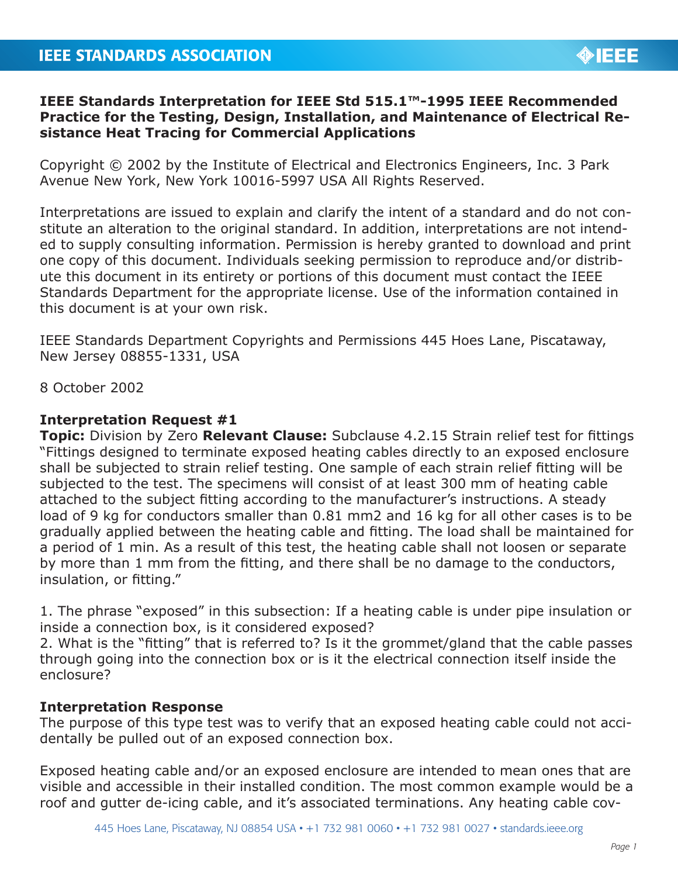## **IEEE Standards Interpretation for IEEE Std 515.1™-1995 IEEE Recommended Practice for the Testing, Design, Installation, and Maintenance of Electrical Resistance Heat Tracing for Commercial Applications**

Copyright © 2002 by the Institute of Electrical and Electronics Engineers, Inc. 3 Park Avenue New York, New York 10016-5997 USA All Rights Reserved.

Interpretations are issued to explain and clarify the intent of a standard and do not constitute an alteration to the original standard. In addition, interpretations are not intended to supply consulting information. Permission is hereby granted to download and print one copy of this document. Individuals seeking permission to reproduce and/or distribute this document in its entirety or portions of this document must contact the IEEE Standards Department for the appropriate license. Use of the information contained in this document is at your own risk.

IEEE Standards Department Copyrights and Permissions 445 Hoes Lane, Piscataway, New Jersey 08855-1331, USA

8 October 2002

## **Interpretation Request #1**

**Topic:** Division by Zero **Relevant Clause:** Subclause 4.2.15 Strain relief test for fittings "Fittings designed to terminate exposed heating cables directly to an exposed enclosure shall be subjected to strain relief testing. One sample of each strain relief fitting will be subjected to the test. The specimens will consist of at least 300 mm of heating cable attached to the subject fitting according to the manufacturer's instructions. A steady load of 9 kg for conductors smaller than 0.81 mm2 and 16 kg for all other cases is to be gradually applied between the heating cable and fitting. The load shall be maintained for a period of 1 min. As a result of this test, the heating cable shall not loosen or separate by more than 1 mm from the fitting, and there shall be no damage to the conductors, insulation, or fitting."

1. The phrase "exposed" in this subsection: If a heating cable is under pipe insulation or inside a connection box, is it considered exposed?

2. What is the "fitting" that is referred to? Is it the grommet/gland that the cable passes through going into the connection box or is it the electrical connection itself inside the enclosure?

## **Interpretation Response**

The purpose of this type test was to verify that an exposed heating cable could not accidentally be pulled out of an exposed connection box.

Exposed heating cable and/or an exposed enclosure are intended to mean ones that are visible and accessible in their installed condition. The most common example would be a roof and gutter de-icing cable, and it's associated terminations. Any heating cable cov-